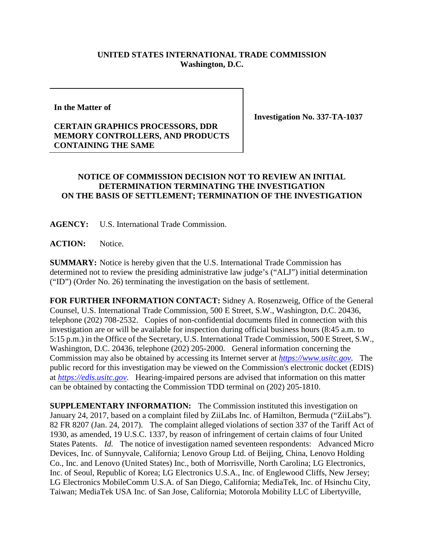## **UNITED STATES INTERNATIONAL TRADE COMMISSION Washington, D.C.**

**In the Matter of**

## **CERTAIN GRAPHICS PROCESSORS, DDR MEMORY CONTROLLERS, AND PRODUCTS CONTAINING THE SAME**

**Investigation No. 337-TA-1037**

## **NOTICE OF COMMISSION DECISION NOT TO REVIEW AN INITIAL DETERMINATION TERMINATING THE INVESTIGATION ON THE BASIS OF SETTLEMENT; TERMINATION OF THE INVESTIGATION**

**AGENCY:** U.S. International Trade Commission.

ACTION: Notice.

**SUMMARY:** Notice is hereby given that the U.S. International Trade Commission has determined not to review the presiding administrative law judge's ("ALJ") initial determination ("ID") (Order No. 26) terminating the investigation on the basis of settlement.

**FOR FURTHER INFORMATION CONTACT:** Sidney A. Rosenzweig, Office of the General Counsel, U.S. International Trade Commission, 500 E Street, S.W., Washington, D.C. 20436, telephone (202) 708-2532. Copies of non-confidential documents filed in connection with this investigation are or will be available for inspection during official business hours (8:45 a.m. to 5:15 p.m.) in the Office of the Secretary, U.S. International Trade Commission, 500 E Street, S.W., Washington, D.C. 20436, telephone (202) 205-2000. General information concerning the Commission may also be obtained by accessing its Internet server at *[https://www.usitc.gov](https://www.usitc.gov/)*. The public record for this investigation may be viewed on the Commission's electronic docket (EDIS) at *[https://edis.usitc.gov](https://edis.usitc.gov/)*. Hearing-impaired persons are advised that information on this matter can be obtained by contacting the Commission TDD terminal on (202) 205-1810.

**SUPPLEMENTARY INFORMATION:** The Commission instituted this investigation on January 24, 2017, based on a complaint filed by ZiiLabs Inc. of Hamilton, Bermuda ("ZiiLabs"). 82 FR 8207 (Jan. 24, 2017). The complaint alleged violations of section 337 of the Tariff Act of 1930, as amended, 19 U.S.C. 1337, by reason of infringement of certain claims of four United States Patents. *Id.* The notice of investigation named seventeen respondents: Advanced Micro Devices, Inc. of Sunnyvale, California; Lenovo Group Ltd. of Beijing, China, Lenovo Holding Co., Inc. and Lenovo (United States) Inc., both of Morrisville, North Carolina; LG Electronics, Inc. of Seoul, Republic of Korea; LG Electronics U.S.A., Inc. of Englewood Cliffs, New Jersey; LG Electronics MobileComm U.S.A. of San Diego, California; MediaTek, Inc. of Hsinchu City, Taiwan; MediaTek USA Inc. of San Jose, California; Motorola Mobility LLC of Libertyville,